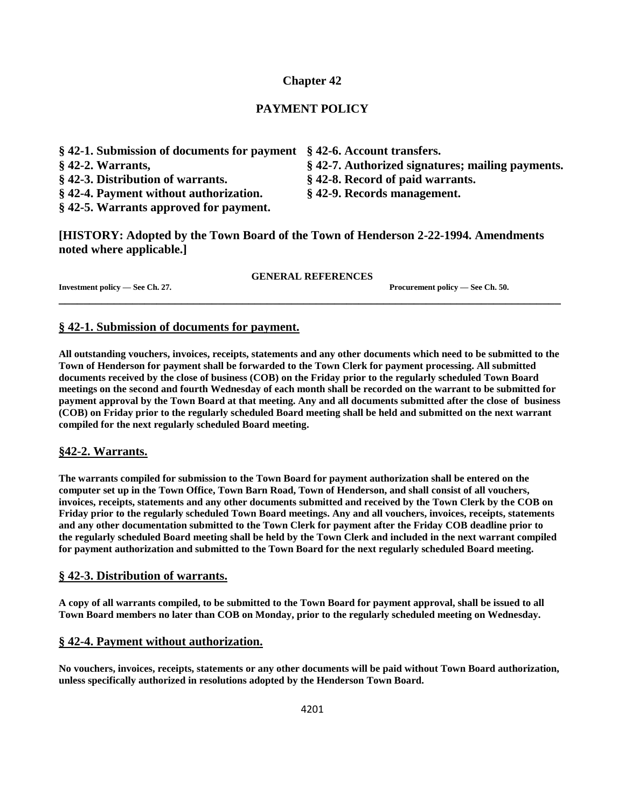# **Chapter 42**

# **PAYMENT POLICY**

- **§ 42-1. Submission of documents for payment § 42-6. Account transfers.**
- 
- **§ 42-3. Distribution of warrants. § 42-8. Record of paid warrants.**
- **§ 42-4. Payment without authorization. § 42-9. Records management.**
- **§ 42-5. Warrants approved for payment.**
- 
- **§ 42-2. Warrants, § 42-7. Authorized signatures; mailing payments.**
	-
	-

**[HISTORY: Adopted by the Town Board of the Town of Henderson 2-22-1994. Amendments noted where applicable.]**

#### **GENERAL REFERENCES**

**\_\_\_\_\_\_\_\_\_\_\_\_\_\_\_\_\_\_\_\_\_\_\_\_\_\_\_\_\_\_\_\_\_\_\_\_\_\_\_\_\_\_\_\_\_\_\_\_\_\_\_\_\_\_\_\_\_\_\_\_\_\_\_\_\_\_\_\_\_\_\_\_\_\_\_\_\_\_\_\_\_\_**

**Investment policy — See Ch. 27. Procurement policy — See Ch. 50.**

# **§ 42-1. Submission of documents for payment.**

**All outstanding vouchers, invoices, receipts, statements and any other documents which need to be submitted to the Town of Henderson for payment shall be forwarded to the Town Clerk for payment processing. All submitted documents received by the close of business (COB) on the Friday prior to the regularly scheduled Town Board meetings on the second and fourth Wednesday of each month shall be recorded on the warrant to be submitted for payment approval by the Town Board at that meeting. Any and all documents submitted after the close of business (COB) on Friday prior to the regularly scheduled Board meeting shall be held and submitted on the next warrant compiled for the next regularly scheduled Board meeting.**

# **§42-2. Warrants.**

**The warrants compiled for submission to the Town Board for payment authorization shall be entered on the computer set up in the Town Office, Town Barn Road, Town of Henderson, and shall consist of all vouchers, invoices, receipts, statements and any other documents submitted and received by the Town Clerk by the COB on Friday prior to the regularly scheduled Town Board meetings. Any and all vouchers, invoices, receipts, statements and any other documentation submitted to the Town Clerk for payment after the Friday COB deadline prior to the regularly scheduled Board meeting shall be held by the Town Clerk and included in the next warrant compiled for payment authorization and submitted to the Town Board for the next regularly scheduled Board meeting.**

#### **§ 42-3. Distribution of warrants.**

**A copy of all warrants compiled, to be submitted to the Town Board for payment approval, shall be issued to all Town Board members no later than COB on Monday, prior to the regularly scheduled meeting on Wednesday.**

# **§ 42-4. Payment without authorization.**

**No vouchers, invoices, receipts, statements or any other documents will be paid without Town Board authorization, unless specifically authorized in resolutions adopted by the Henderson Town Board.**